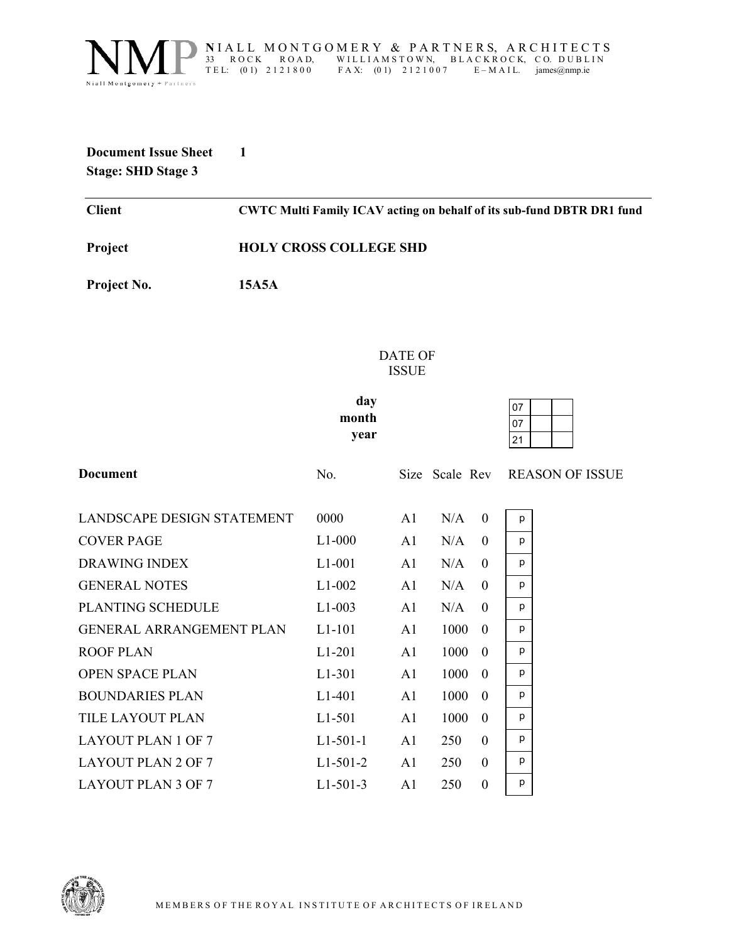

NIALL MONTGOMERY & PARTNERS, ARCHITECTS<br>33 ROCK ROAD, WILLIAMSTOWN, BLACKROCK, CO. DUBLIN 33 ROCK ROAD, WILLIAMSTOWN, BLACKROCK, CO. DUBLIN<br>TEL: (01) 2121800 FAX: (01) 2121007 E-MAIL. james@nmp.ie  $FA X: (0 1) 2 1 2 1 0 0 7$ 

## **Document Issue Sheet 1 Stage: SHD Stage 3**

**Client CWTC Multi Family ICAV acting on behalf of its sub-fund DBTR DR1 fund**

**Project HOLY CROSS COLLEGE SHD** 

**Project No. 15A5A** 

DATE OF ISSUE

**day month year** 

| 07 |  |
|----|--|
| 07 |  |
| 21 |  |

p p p p p p p p p p p p p

**Document** No. Size Scale Rev REASON OF ISSUE LANDSCAPE DESIGN STATEMENT 0000 A1 N/A 0 COVER PAGE L1-000 A1 N/A 0 DRAWING INDEX L1-001 A1 N/A 0 GENERAL NOTES L1-002 A1 N/A 0 PLANTING SCHEDULE L1-003 A1 N/A 0 GENERAL ARRANGEMENT PLAN L1-101 A1 1000 0 ROOF PLAN L1-201 A1 1000 0 OPEN SPACE PLAN L1-301 A1 1000 0 BOUNDARIES PLAN L1-401 A1 1000 0 TILE LAYOUT PLAN L1-501 A1 1000 0 LAYOUT PLAN 1 OF 7 L1-501-1 A1 250 0 LAYOUT PLAN 2 OF 7 L1-501-2 A1 250 0 LAYOUT PLAN 3 OF 7 L1-501-3 A1 250 0

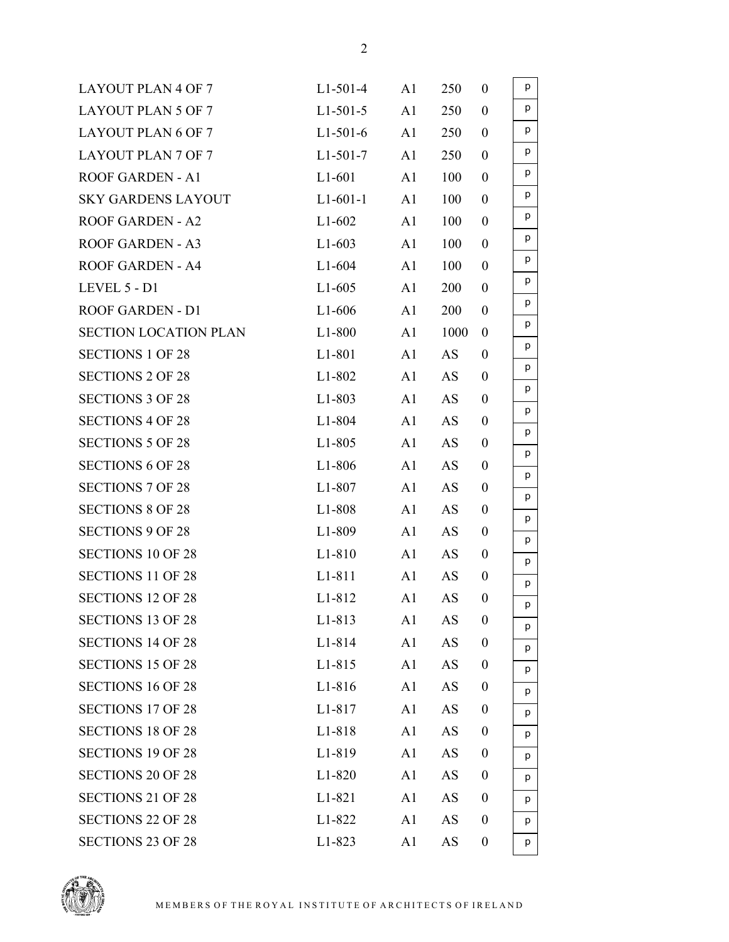| <b>LAYOUT PLAN 4 OF 7</b>    | $L1-501-4$          | A1             | 250       | $\mathbf{0}$     | p      |
|------------------------------|---------------------|----------------|-----------|------------------|--------|
| <b>LAYOUT PLAN 5 OF 7</b>    | $L1-501-5$          | A1             | 250       | $\boldsymbol{0}$ | p      |
| <b>LAYOUT PLAN 6 OF 7</b>    | $L1-501-6$          | A1             | 250       | $\boldsymbol{0}$ | p      |
| <b>LAYOUT PLAN 7 OF 7</b>    | $L1-501-7$          | A1             | 250       | $\boldsymbol{0}$ | p      |
| <b>ROOF GARDEN - A1</b>      | $L1-601$            | A1             | 100       | $\overline{0}$   | p      |
| <b>SKY GARDENS LAYOUT</b>    | $L1-601-1$          | A1             | 100       | $\boldsymbol{0}$ | p      |
| <b>ROOF GARDEN - A2</b>      | $L1-602$            | A1             | 100       | $\boldsymbol{0}$ | p      |
| <b>ROOF GARDEN - A3</b>      | $L1-603$            | A <sub>1</sub> | 100       | $\boldsymbol{0}$ | p      |
| <b>ROOF GARDEN - A4</b>      | $L1-604$            | A <sub>1</sub> | 100       | $\boldsymbol{0}$ | p      |
| LEVEL 5 - D1                 | $L1-605$            | A1             | 200       | $\boldsymbol{0}$ | p      |
| ROOF GARDEN - D1             | $L1-606$            | A1             | 200       | $\boldsymbol{0}$ | p      |
| <b>SECTION LOCATION PLAN</b> | $L1-800$            | A1             | 1000      | $\boldsymbol{0}$ | p      |
| <b>SECTIONS 1 OF 28</b>      | L1-801              | A1             | AS        | $\boldsymbol{0}$ | p      |
| <b>SECTIONS 2 OF 28</b>      | $L1-802$            | A1             | AS        | $\boldsymbol{0}$ | p      |
| <b>SECTIONS 3 OF 28</b>      | $L1-803$            | A1             | AS        | $\mathbf{0}$     | p      |
| <b>SECTIONS 4 OF 28</b>      | $L1 - 804$          | A1             | AS        | $\boldsymbol{0}$ | p      |
| <b>SECTIONS 5 OF 28</b>      | $L1-805$            | A1             | AS        | $\boldsymbol{0}$ | p      |
| <b>SECTIONS 6 OF 28</b>      | $L1-806$            | A1             | AS        | $\boldsymbol{0}$ | p      |
| <b>SECTIONS 7 OF 28</b>      | $L1-807$            | A1             | AS        | $\boldsymbol{0}$ | p<br>p |
| <b>SECTIONS 8 OF 28</b>      | L1-808              | A1             | AS        | $\boldsymbol{0}$ | p      |
| <b>SECTIONS 9 OF 28</b>      | L <sub>1</sub> -809 | A1             | AS        | $\boldsymbol{0}$ | p      |
| <b>SECTIONS 10 OF 28</b>     | $L1-810$            | A1             | AS        | $\boldsymbol{0}$ | p      |
| <b>SECTIONS 11 OF 28</b>     | L1-811              | A1             | AS        | $\mathbf{0}$     | р      |
| <b>SECTIONS 12 OF 28</b>     | L1-812              | A1             | AS        | $\mathbf{0}$     | p      |
| <b>SECTIONS 13 OF 28</b>     | L1-813              | A <sub>1</sub> | AS        | $\theta$         | p      |
| <b>SECTIONS 14 OF 28</b>     | L1-814              | A <sub>1</sub> | AS        | $\boldsymbol{0}$ | p      |
| <b>SECTIONS 15 OF 28</b>     | L1-815              | A1             | AS        | $\boldsymbol{0}$ | p      |
| <b>SECTIONS 16 OF 28</b>     | L1-816              | A1             | AS        | $\boldsymbol{0}$ | p      |
| <b>SECTIONS 17 OF 28</b>     | L1-817              | A <sub>1</sub> | AS        | $\overline{0}$   | p      |
| <b>SECTIONS 18 OF 28</b>     | L1-818              | A <sub>1</sub> | <b>AS</b> | $\boldsymbol{0}$ | p      |
| <b>SECTIONS 19 OF 28</b>     | L1-819              | A1             | AS        | $\boldsymbol{0}$ | p      |
| <b>SECTIONS 20 OF 28</b>     | L1-820              | A1             | AS        | $\mathbf{0}$     | p      |
| <b>SECTIONS 21 OF 28</b>     | L1-821              | A <sub>1</sub> | AS        | $\boldsymbol{0}$ | p      |
| <b>SECTIONS 22 OF 28</b>     | L1-822              | A <sub>1</sub> | AS        | $\boldsymbol{0}$ | р      |
| <b>SECTIONS 23 OF 28</b>     | L1-823              | A <sub>1</sub> | AS        | $\boldsymbol{0}$ | p      |
|                              |                     |                |           |                  |        |